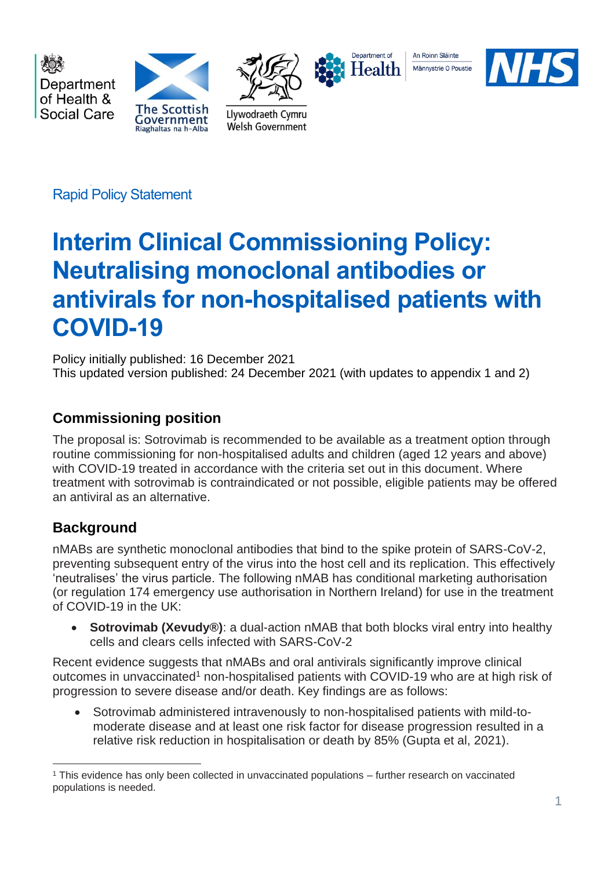

Rapid Policy Statement

# **Interim Clinical Commissioning Policy: Neutralising monoclonal antibodies or antivirals for non-hospitalised patients with COVID-19**

Policy initially published: 16 December 2021 This updated version published: 24 December 2021 (with updates to appendix 1 and 2)

# **Commissioning position**

The proposal is: Sotrovimab is recommended to be available as a treatment option through routine commissioning for non-hospitalised adults and children (aged 12 years and above) with COVID-19 treated in accordance with the criteria set out in this document. Where treatment with sotrovimab is contraindicated or not possible, eligible patients may be offered an antiviral as an alternative.

# **Background**

nMABs are synthetic monoclonal antibodies that bind to the spike protein of SARS-CoV-2, preventing subsequent entry of the virus into the host cell and its replication. This effectively 'neutralises' the virus particle. The following nMAB has conditional marketing authorisation (or regulation 174 emergency use authorisation in Northern Ireland) for use in the treatment of COVID-19 in the UK:

• **Sotrovimab (Xevudy**®): a dual-action nMAB that both blocks viral entry into healthy cells and clears cells infected with SARS-CoV-2

Recent evidence suggests that nMABs and oral antivirals significantly improve clinical outcomes in unvaccinated<sup>1</sup> non-hospitalised patients with COVID-19 who are at high risk of progression to severe disease and/or death. Key findings are as follows:

• Sotrovimab administered intravenously to non-hospitalised patients with mild-tomoderate disease and at least one risk factor for disease progression resulted in a relative risk reduction in hospitalisation or death by 85% (Gupta et al, 2021).

<sup>1</sup> This evidence has only been collected in unvaccinated populations – further research on vaccinated populations is needed.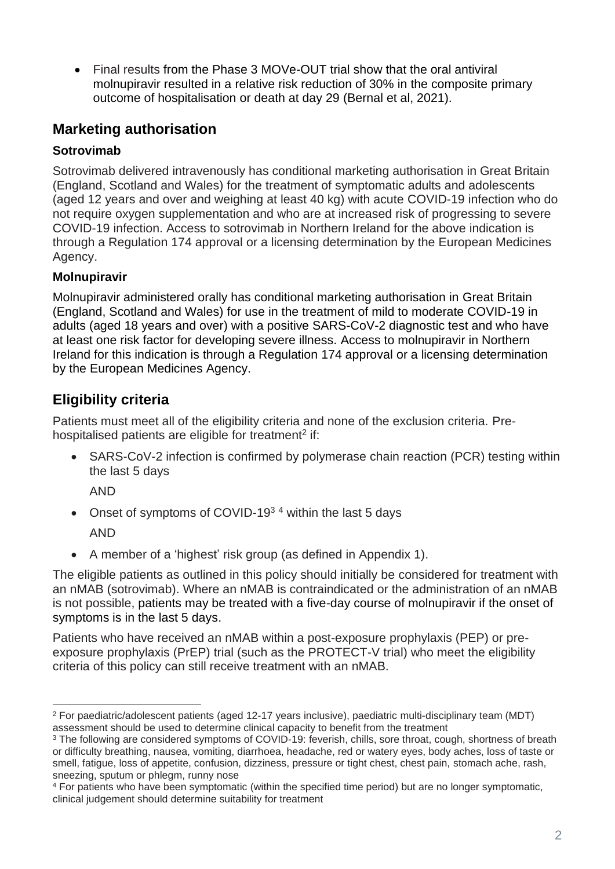• Final results from the Phase 3 MOVe-OUT trial show that the oral antiviral molnupiravir resulted in a relative risk reduction of 30% in the composite primary outcome of hospitalisation or death at day 29 (Bernal et al, 2021).

# **Marketing authorisation**

### **Sotrovimab**

Sotrovimab delivered intravenously has conditional marketing authorisation in Great Britain (England, Scotland and Wales) for the treatment of symptomatic adults and adolescents (aged 12 years and over and weighing at least 40 kg) with acute COVID-19 infection who do not require oxygen supplementation and who are at increased risk of progressing to severe COVID-19 infection. Access to sotrovimab in Northern Ireland for the above indication is through a Regulation 174 approval or a licensing determination by the European Medicines Agency.

### **Molnupiravir**

Molnupiravir administered orally has conditional marketing authorisation in Great Britain (England, Scotland and Wales) for use in the treatment of mild to moderate COVID-19 in adults (aged 18 years and over) with a positive SARS-CoV-2 diagnostic test and who have at least one risk factor for developing severe illness. Access to molnupiravir in Northern Ireland for this indication is through a Regulation 174 approval or a licensing determination by the European Medicines Agency.

# **Eligibility criteria**

Patients must meet all of the eligibility criteria and none of the exclusion criteria. Prehospitalised patients are eligible for treatment<sup>2</sup> if:

• SARS-CoV-2 infection is confirmed by polymerase chain reaction (PCR) testing within the last 5 days

AND

• Onset of symptoms of COVID-19<sup>34</sup> within the last 5 days

AND

• A member of a 'highest' risk group (as defined in Appendix 1).

The eligible patients as outlined in this policy should initially be considered for treatment with an nMAB (sotrovimab). Where an nMAB is contraindicated or the administration of an nMAB is not possible, patients may be treated with a five-day course of molnupiravir if the onset of symptoms is in the last 5 days.

Patients who have received an nMAB within a post-exposure prophylaxis (PEP) or preexposure prophylaxis (PrEP) trial (such as the PROTECT-V trial) who meet the eligibility criteria of this policy can still receive treatment with an nMAB.

<sup>2</sup> For paediatric/adolescent patients (aged 12-17 years inclusive), paediatric multi-disciplinary team (MDT) assessment should be used to determine clinical capacity to benefit from the treatment

<sup>&</sup>lt;sup>3</sup> The following are considered symptoms of COVID-19: feverish, chills, sore throat, cough, shortness of breath or difficulty breathing, nausea, vomiting, diarrhoea, headache, red or watery eyes, body aches, loss of taste or smell, fatigue, loss of appetite, confusion, dizziness, pressure or tight chest, chest pain, stomach ache, rash, sneezing, sputum or phlegm, runny nose

<sup>4</sup> For patients who have been symptomatic (within the specified time period) but are no longer symptomatic, clinical judgement should determine suitability for treatment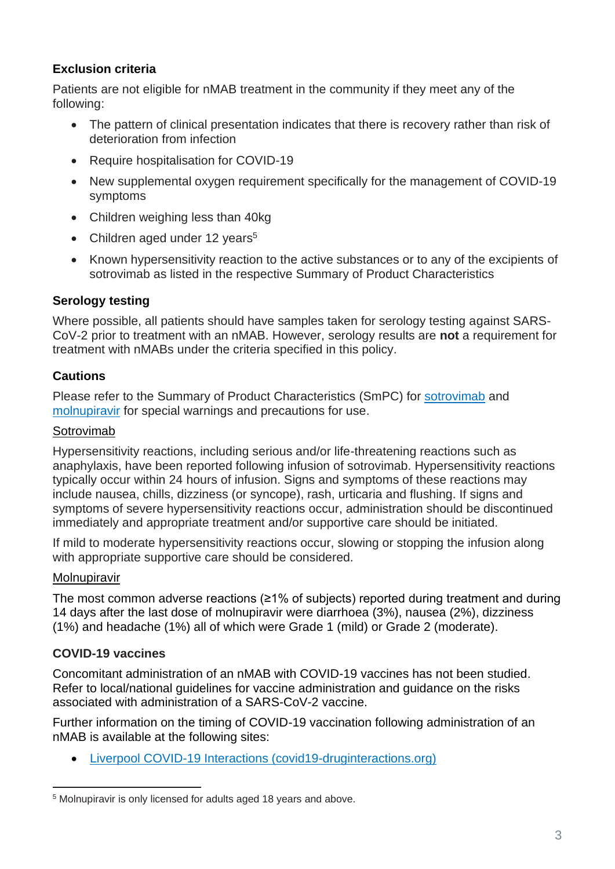### **Exclusion criteria**

Patients are not eligible for nMAB treatment in the community if they meet any of the following:

- The pattern of clinical presentation indicates that there is recovery rather than risk of deterioration from infection
- Require hospitalisation for COVID-19
- New supplemental oxygen requirement specifically for the management of COVID-19 symptoms
- Children weighing less than 40kg
- Children aged under 12 years<sup>5</sup>
- Known hypersensitivity reaction to the active substances or to any of the excipients of sotrovimab as listed in the respective Summary of Product Characteristics

#### **Serology testing**

Where possible, all patients should have samples taken for serology testing against SARS-CoV-2 prior to treatment with an nMAB. However, serology results are **not** a requirement for treatment with nMABs under the criteria specified in this policy.

#### **Cautions**

Please refer to the Summary of Product Characteristics (SmPC) for [sotrovimab](https://www.gov.uk/government/publications/regulatory-approval-of-xevudy-sotrovimab/summary-of-product-characteristics-for-xevudy) and [molnupiravir](https://www.medicines.org.uk/emc/product/13044/smpc#gref) for special warnings and precautions for use.

#### Sotrovimab

Hypersensitivity reactions, including serious and/or life-threatening reactions such as anaphylaxis, have been reported following infusion of sotrovimab. Hypersensitivity reactions typically occur within 24 hours of infusion. Signs and symptoms of these reactions may include nausea, chills, dizziness (or syncope), rash, urticaria and flushing. If signs and symptoms of severe hypersensitivity reactions occur, administration should be discontinued immediately and appropriate treatment and/or supportive care should be initiated.

If mild to moderate hypersensitivity reactions occur, slowing or stopping the infusion along with appropriate supportive care should be considered.

#### Molnupiravir

The most common adverse reactions (≥1% of subjects) reported during treatment and during 14 days after the last dose of molnupiravir were diarrhoea (3%), nausea (2%), dizziness (1%) and headache (1%) all of which were Grade 1 (mild) or Grade 2 (moderate).

#### **COVID-19 vaccines**

Concomitant administration of an nMAB with COVID-19 vaccines has not been studied. Refer to local/national guidelines for vaccine administration and guidance on the risks associated with administration of a SARS-CoV-2 vaccine.

Further information on the timing of COVID-19 vaccination following administration of an nMAB is available at the following sites:

• [Liverpool COVID-19 Interactions \(covid19-druginteractions.org\)](https://www.covid19-druginteractions.org/checker)

<sup>5</sup> Molnupiravir is only licensed for adults aged 18 years and above.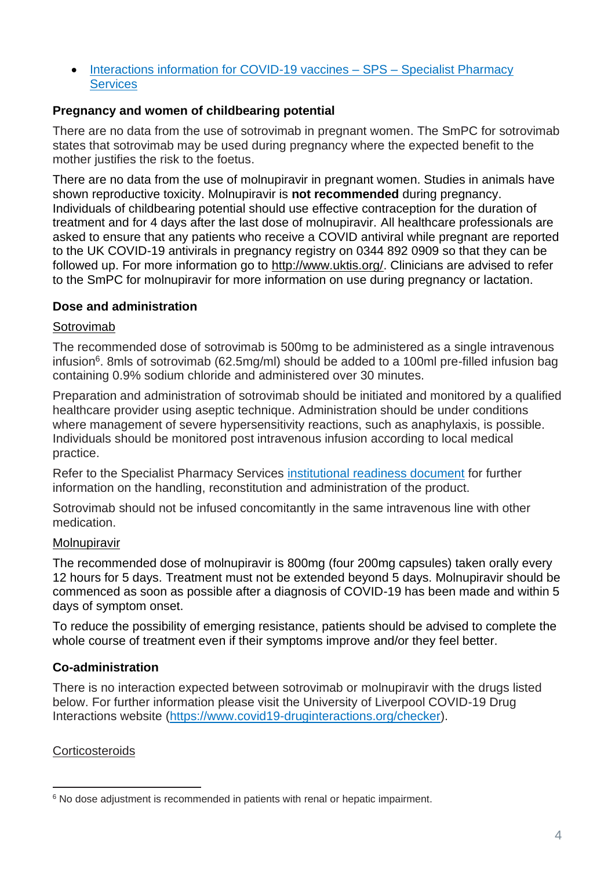• [Interactions information for COVID-19 vaccines –](https://www.sps.nhs.uk/articles/interactions-information-for-covid-19-vaccines/) SPS – Specialist Pharmacy **[Services](https://www.sps.nhs.uk/articles/interactions-information-for-covid-19-vaccines/)** 

#### **Pregnancy and women of childbearing potential**

There are no data from the use of sotrovimab in pregnant women. The SmPC for sotrovimab states that sotrovimab may be used during pregnancy where the expected benefit to the mother justifies the risk to the foetus.

There are no data from the use of molnupiravir in pregnant women. Studies in animals have shown reproductive toxicity. Molnupiravir is **not recommended** during pregnancy. Individuals of childbearing potential should use effective contraception for the duration of treatment and for 4 days after the last dose of molnupiravir. All healthcare professionals are asked to ensure that any patients who receive a COVID antiviral while pregnant are reported to the UK COVID-19 antivirals in pregnancy registry on 0344 892 0909 so that they can be followed up. For more information go to [http://www.uktis.org/.](https://eur01.safelinks.protection.outlook.com/?url=http%3A%2F%2Fwww.uktis.org%2F&data=04%7C01%7CKatherine.Donegan%40mhra.gov.uk%7C9dc4684e290c4e4c287f08d9b1009898%7Ce527ea5c62584cd2a27f8bd237ec4c26%7C0%7C0%7C637735438389588066%7CUnknown%7CTWFpbGZsb3d8eyJWIjoiMC4wLjAwMDAiLCJQIjoiV2luMzIiLCJBTiI6Ik1haWwiLCJXVCI6Mn0%3D%7C3000&sdata=6vUtXmW0Wp2E%2Bjly0GI9Cs7NHa03uUHgdMcgrJMa54s%3D&reserved=0) Clinicians are advised to refer to the SmPC for molnupiravir for more information on use during pregnancy or lactation.

#### **Dose and administration**

#### Sotrovimab

The recommended dose of sotrovimab is 500mg to be administered as a single intravenous infusion<sup>6</sup>. 8mls of sotrovimab (62.5mg/ml) should be added to a 100ml pre-filled infusion bag containing 0.9% sodium chloride and administered over 30 minutes.

Preparation and administration of sotrovimab should be initiated and monitored by a qualified healthcare provider using aseptic technique. Administration should be under conditions where management of severe hypersensitivity reactions, such as anaphylaxis, is possible. Individuals should be monitored post intravenous infusion according to local medical practice.

Refer to the Specialist Pharmacy Services [institutional readiness](https://www.sps.nhs.uk/home/guidance/covid-19-treatments/neutralising-monoclonal-antibodies/sotrovimab-xevudy/) document for further information on the handling, reconstitution and administration of the product.

Sotrovimab should not be infused concomitantly in the same intravenous line with other medication.

#### **Molnupiravir**

The recommended dose of molnupiravir is 800mg (four 200mg capsules) taken orally every 12 hours for 5 days. Treatment must not be extended beyond 5 days. Molnupiravir should be commenced as soon as possible after a diagnosis of COVID-19 has been made and within 5 days of symptom onset.

To reduce the possibility of emerging resistance, patients should be advised to complete the whole course of treatment even if their symptoms improve and/or they feel better.

### **Co-administration**

There is no interaction expected between sotrovimab or molnupiravir with the drugs listed below. For further information please visit the University of Liverpool COVID-19 Drug Interactions website [\(https://www.covid19-druginteractions.org/checker\)](https://www.covid19-druginteractions.org/checker).

#### **Corticosteroids**

<sup>&</sup>lt;sup>6</sup> No dose adjustment is recommended in patients with renal or hepatic impairment.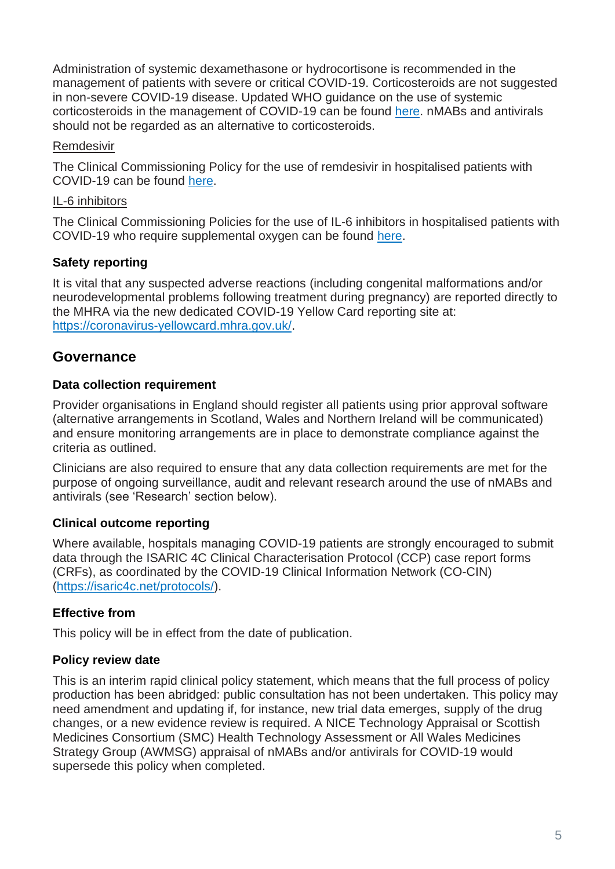Administration of systemic dexamethasone or hydrocortisone is recommended in the management of patients with severe or critical COVID-19. Corticosteroids are not suggested in non-severe COVID-19 disease. Updated WHO guidance on the use of systemic corticosteroids in the management of COVID-19 can be found [here.](https://www.who.int/publications/i/item/WHO-2019-nCoV-Corticosteroids-2020.1) nMABs and antivirals should not be regarded as an alternative to corticosteroids.

#### Remdesivir

The Clinical Commissioning Policy for the use of remdesivir in hospitalised patients with COVID-19 can be found [here.](https://www.england.nhs.uk/coronavirus/wp-content/uploads/sites/52/2020/07/C1322-interim-cc-policy-remdesivir-for-people-hospitalised-with-covid-19-v3.pdf)

#### IL-6 inhibitors

The Clinical Commissioning Policies for the use of IL-6 inhibitors in hospitalised patients with COVID-19 who require supplemental oxygen can be found [here.](https://www.england.nhs.uk/coronavirus/wp-content/uploads/sites/52/2021/02/Interim-clinical-commissioning-policy-IL-6-inhibitors-tocilizumab-or-sarilumab-for-hospitalised-patients-with-.pdf)

### **Safety reporting**

It is vital that any suspected adverse reactions (including congenital malformations and/or neurodevelopmental problems following treatment during pregnancy) are reported directly to the MHRA via the new dedicated COVID-19 Yellow Card reporting site at: [https://coronavirus-yellowcard.mhra.gov.uk/.](https://coronavirus-yellowcard.mhra.gov.uk/)

# **Governance**

### **Data collection requirement**

Provider organisations in England should register all patients using prior approval software (alternative arrangements in Scotland, Wales and Northern Ireland will be communicated) and ensure monitoring arrangements are in place to demonstrate compliance against the criteria as outlined.

Clinicians are also required to ensure that any data collection requirements are met for the purpose of ongoing surveillance, audit and relevant research around the use of nMABs and antivirals (see 'Research' section below).

### **Clinical outcome reporting**

Where available, hospitals managing COVID-19 patients are strongly encouraged to submit data through the ISARIC 4C Clinical Characterisation Protocol (CCP) case report forms (CRFs), as coordinated by the COVID-19 Clinical Information Network (CO-CIN) [\(https://isaric4c.net/protocols/\)](https://isaric4c.net/protocols/).

### **Effective from**

This policy will be in effect from the date of publication.

### **Policy review date**

This is an interim rapid clinical policy statement, which means that the full process of policy production has been abridged: public consultation has not been undertaken. This policy may need amendment and updating if, for instance, new trial data emerges, supply of the drug changes, or a new evidence review is required. A NICE Technology Appraisal or Scottish Medicines Consortium (SMC) Health Technology Assessment or All Wales Medicines Strategy Group (AWMSG) appraisal of nMABs and/or antivirals for COVID-19 would supersede this policy when completed.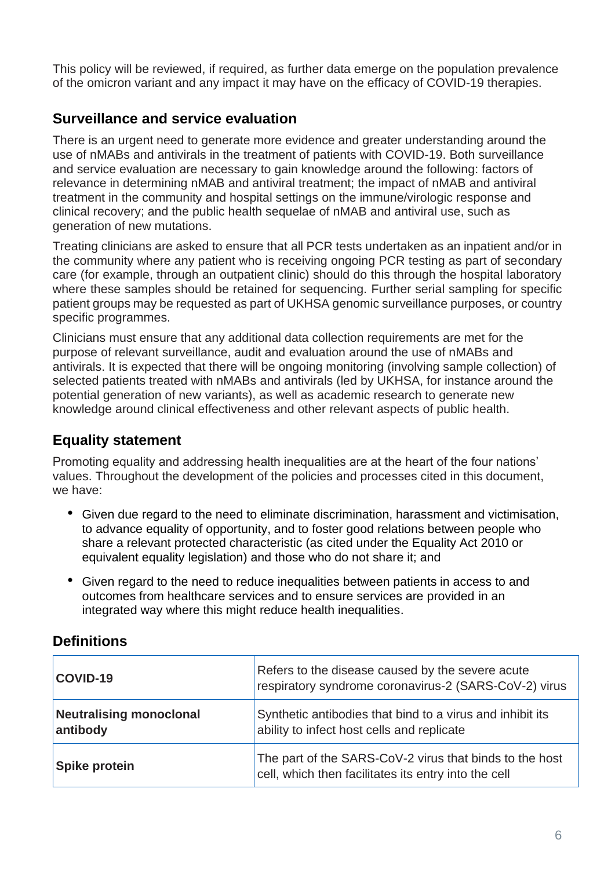This policy will be reviewed, if required, as further data emerge on the population prevalence of the omicron variant and any impact it may have on the efficacy of COVID-19 therapies.

# **Surveillance and service evaluation**

There is an urgent need to generate more evidence and greater understanding around the use of nMABs and antivirals in the treatment of patients with COVID-19. Both surveillance and service evaluation are necessary to gain knowledge around the following: factors of relevance in determining nMAB and antiviral treatment; the impact of nMAB and antiviral treatment in the community and hospital settings on the immune/virologic response and clinical recovery; and the public health sequelae of nMAB and antiviral use, such as generation of new mutations.

Treating clinicians are asked to ensure that all PCR tests undertaken as an inpatient and/or in the community where any patient who is receiving ongoing PCR testing as part of secondary care (for example, through an outpatient clinic) should do this through the hospital laboratory where these samples should be retained for sequencing. Further serial sampling for specific patient groups may be requested as part of UKHSA genomic surveillance purposes, or country specific programmes.

Clinicians must ensure that any additional data collection requirements are met for the purpose of relevant surveillance, audit and evaluation around the use of nMABs and antivirals. It is expected that there will be ongoing monitoring (involving sample collection) of selected patients treated with nMABs and antivirals (led by UKHSA, for instance around the potential generation of new variants), as well as academic research to generate new knowledge around clinical effectiveness and other relevant aspects of public health.

# **Equality statement**

Promoting equality and addressing health inequalities are at the heart of the four nations' values. Throughout the development of the policies and processes cited in this document, we have:

- Given due regard to the need to eliminate discrimination, harassment and victimisation, to advance equality of opportunity, and to foster good relations between people who share a relevant protected characteristic (as cited under the Equality Act 2010 or equivalent equality legislation) and those who do not share it; and
- Given regard to the need to reduce inequalities between patients in access to and outcomes from healthcare services and to ensure services are provided in an integrated way where this might reduce health inequalities.

# **Definitions**

| COVID-19                                   | Refers to the disease caused by the severe acute<br>respiratory syndrome coronavirus-2 (SARS-CoV-2) virus       |
|--------------------------------------------|-----------------------------------------------------------------------------------------------------------------|
| <b>Neutralising monoclonal</b><br>antibody | Synthetic antibodies that bind to a virus and inhibit its<br>ability to infect host cells and replicate         |
| <b>Spike protein</b>                       | The part of the SARS-CoV-2 virus that binds to the host<br>cell, which then facilitates its entry into the cell |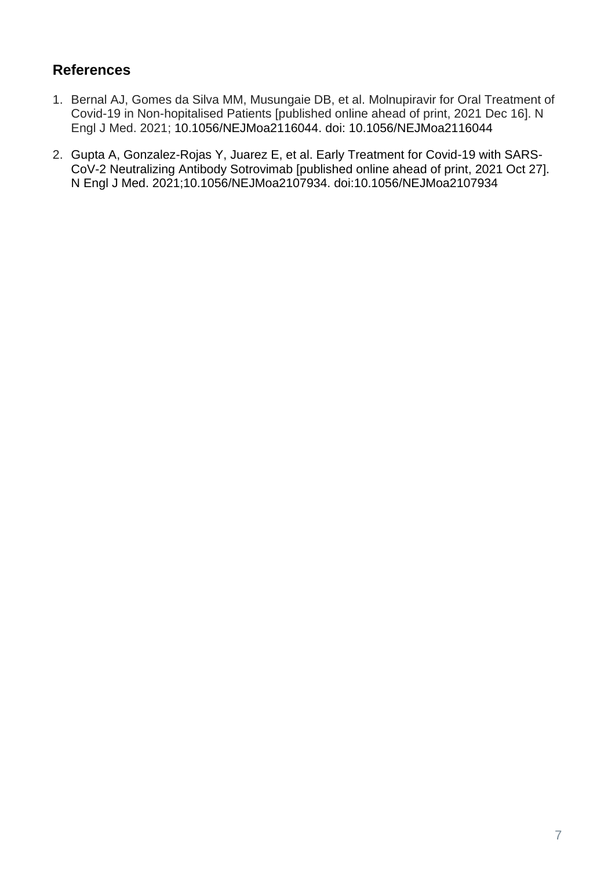# **References**

- 1. Bernal AJ, Gomes da Silva MM, Musungaie DB, et al. Molnupiravir for Oral Treatment of Covid-19 in Non-hopitalised Patients [published online ahead of print, 2021 Dec 16]. N Engl J Med. 2021; 10.1056/NEJMoa2116044. doi: 10.1056/NEJMoa2116044
- 2. Gupta A, Gonzalez-Rojas Y, Juarez E, et al. Early Treatment for Covid-19 with SARS-CoV-2 Neutralizing Antibody Sotrovimab [published online ahead of print, 2021 Oct 27]. N Engl J Med. 2021;10.1056/NEJMoa2107934. doi:10.1056/NEJMoa2107934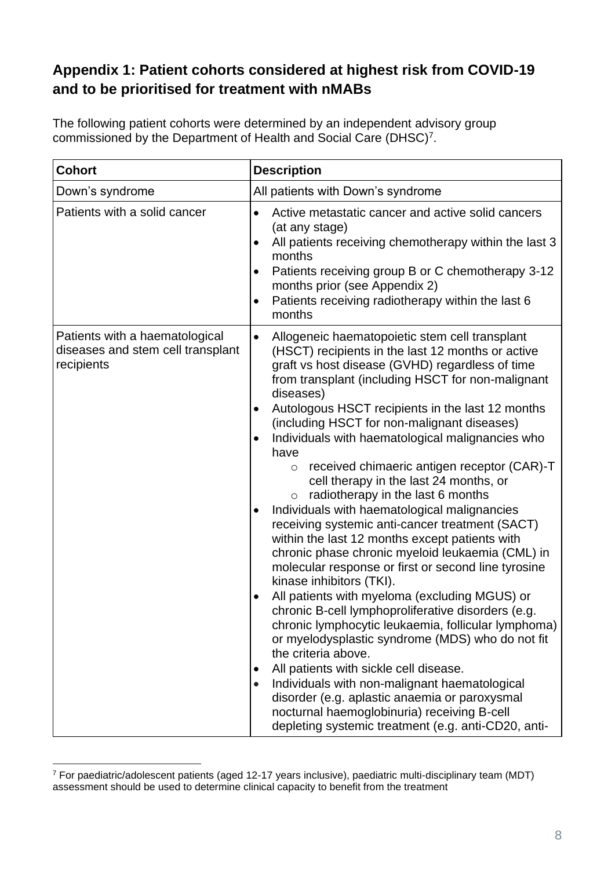# **Appendix 1: Patient cohorts considered at highest risk from COVID-19 and to be prioritised for treatment with nMABs**

| The following patient cohorts were determined by an independent advisory group |
|--------------------------------------------------------------------------------|
| commissioned by the Department of Health and Social Care (DHSC) <sup>7</sup> . |

| <b>Cohort</b>                                                                     | <b>Description</b>                                                                                                                                                                                                                                                                                                                                                                                                                                                                                                                                                                                                                                                                                                                                                                                                                                                                                                                                                                                                                                                                                                                                                                                                                                                                                                                                                                                               |
|-----------------------------------------------------------------------------------|------------------------------------------------------------------------------------------------------------------------------------------------------------------------------------------------------------------------------------------------------------------------------------------------------------------------------------------------------------------------------------------------------------------------------------------------------------------------------------------------------------------------------------------------------------------------------------------------------------------------------------------------------------------------------------------------------------------------------------------------------------------------------------------------------------------------------------------------------------------------------------------------------------------------------------------------------------------------------------------------------------------------------------------------------------------------------------------------------------------------------------------------------------------------------------------------------------------------------------------------------------------------------------------------------------------------------------------------------------------------------------------------------------------|
| Down's syndrome                                                                   | All patients with Down's syndrome                                                                                                                                                                                                                                                                                                                                                                                                                                                                                                                                                                                                                                                                                                                                                                                                                                                                                                                                                                                                                                                                                                                                                                                                                                                                                                                                                                                |
| Patients with a solid cancer                                                      | Active metastatic cancer and active solid cancers<br>$\bullet$<br>(at any stage)<br>All patients receiving chemotherapy within the last 3<br>$\bullet$<br>months<br>Patients receiving group B or C chemotherapy 3-12<br>$\bullet$<br>months prior (see Appendix 2)<br>Patients receiving radiotherapy within the last 6<br>$\bullet$<br>months                                                                                                                                                                                                                                                                                                                                                                                                                                                                                                                                                                                                                                                                                                                                                                                                                                                                                                                                                                                                                                                                  |
| Patients with a haematological<br>diseases and stem cell transplant<br>recipients | Allogeneic haematopoietic stem cell transplant<br>$\bullet$<br>(HSCT) recipients in the last 12 months or active<br>graft vs host disease (GVHD) regardless of time<br>from transplant (including HSCT for non-malignant<br>diseases)<br>Autologous HSCT recipients in the last 12 months<br>$\bullet$<br>(including HSCT for non-malignant diseases)<br>Individuals with haematological malignancies who<br>$\bullet$<br>have<br>received chimaeric antigen receptor (CAR)-T<br>$\circ$<br>cell therapy in the last 24 months, or<br>radiotherapy in the last 6 months<br>$\circ$<br>Individuals with haematological malignancies<br>$\bullet$<br>receiving systemic anti-cancer treatment (SACT)<br>within the last 12 months except patients with<br>chronic phase chronic myeloid leukaemia (CML) in<br>molecular response or first or second line tyrosine<br>kinase inhibitors (TKI).<br>All patients with myeloma (excluding MGUS) or<br>chronic B-cell lymphoproliferative disorders (e.g.<br>chronic lymphocytic leukaemia, follicular lymphoma)<br>or myelodysplastic syndrome (MDS) who do not fit<br>the criteria above.<br>All patients with sickle cell disease.<br>$\bullet$<br>Individuals with non-malignant haematological<br>$\bullet$<br>disorder (e.g. aplastic anaemia or paroxysmal<br>nocturnal haemoglobinuria) receiving B-cell<br>depleting systemic treatment (e.g. anti-CD20, anti- |

<sup>7</sup> For paediatric/adolescent patients (aged 12-17 years inclusive), paediatric multi-disciplinary team (MDT) assessment should be used to determine clinical capacity to benefit from the treatment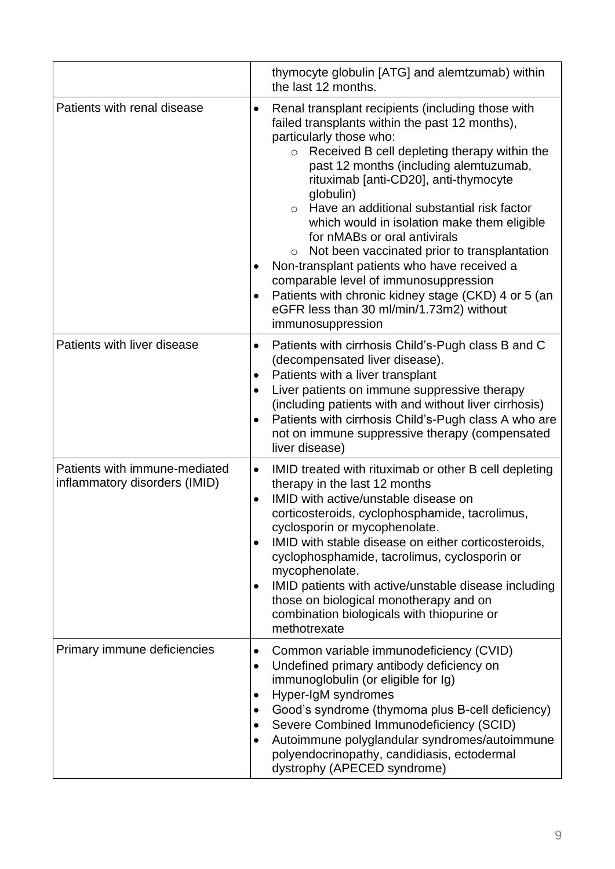|                                                                | thymocyte globulin [ATG] and alemtzumab) within<br>the last 12 months.                                                                                                                                                                                                                                                                                                                                                                                                                                                                                                                                                                                                                                                                      |
|----------------------------------------------------------------|---------------------------------------------------------------------------------------------------------------------------------------------------------------------------------------------------------------------------------------------------------------------------------------------------------------------------------------------------------------------------------------------------------------------------------------------------------------------------------------------------------------------------------------------------------------------------------------------------------------------------------------------------------------------------------------------------------------------------------------------|
| Patients with renal disease                                    | Renal transplant recipients (including those with<br>٠<br>failed transplants within the past 12 months),<br>particularly those who:<br>Received B cell depleting therapy within the<br>$\circ$<br>past 12 months (including alemtuzumab,<br>rituximab [anti-CD20], anti-thymocyte<br>globulin)<br>Have an additional substantial risk factor<br>$\circ$<br>which would in isolation make them eligible<br>for nMABs or oral antivirals<br>Not been vaccinated prior to transplantation<br>$\circ$<br>Non-transplant patients who have received a<br>$\bullet$<br>comparable level of immunosuppression<br>Patients with chronic kidney stage (CKD) 4 or 5 (an<br>$\bullet$<br>eGFR less than 30 ml/min/1.73m2) without<br>immunosuppression |
| Patients with liver disease                                    | Patients with cirrhosis Child's-Pugh class B and C<br>$\bullet$<br>(decompensated liver disease).<br>Patients with a liver transplant<br>٠<br>Liver patients on immune suppressive therapy<br>$\bullet$<br>(including patients with and without liver cirrhosis)<br>Patients with cirrhosis Child's-Pugh class A who are<br>$\bullet$<br>not on immune suppressive therapy (compensated<br>liver disease)                                                                                                                                                                                                                                                                                                                                   |
| Patients with immune-mediated<br>inflammatory disorders (IMID) | IMID treated with rituximab or other B cell depleting<br>$\bullet$<br>therapy in the last 12 months<br>IMID with active/unstable disease on<br>$\bullet$<br>corticosteroids, cyclophosphamide, tacrolimus,<br>cyclosporin or mycophenolate.<br>IMID with stable disease on either corticosteroids,<br>$\bullet$<br>cyclophosphamide, tacrolimus, cyclosporin or<br>mycophenolate.<br>IMID patients with active/unstable disease including<br>$\bullet$<br>those on biological monotherapy and on<br>combination biologicals with thiopurine or<br>methotrexate                                                                                                                                                                              |
| Primary immune deficiencies                                    | Common variable immunodeficiency (CVID)<br>$\bullet$<br>Undefined primary antibody deficiency on<br>$\bullet$<br>immunoglobulin (or eligible for Ig)<br>Hyper-IgM syndromes<br>$\bullet$<br>Good's syndrome (thymoma plus B-cell deficiency)<br>$\bullet$<br>Severe Combined Immunodeficiency (SCID)<br>$\bullet$<br>Autoimmune polyglandular syndromes/autoimmune<br>polyendocrinopathy, candidiasis, ectodermal<br>dystrophy (APECED syndrome)                                                                                                                                                                                                                                                                                            |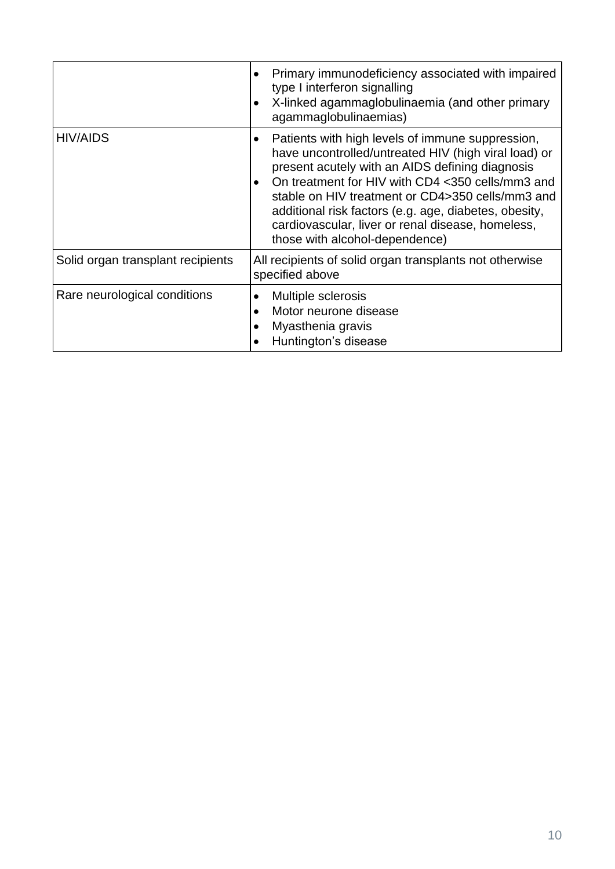|                                   | Primary immunodeficiency associated with impaired<br>$\bullet$<br>type I interferon signalling<br>X-linked agammaglobulinaemia (and other primary<br>agammaglobulinaemias)                                                                                                                                                                                                                                                       |
|-----------------------------------|----------------------------------------------------------------------------------------------------------------------------------------------------------------------------------------------------------------------------------------------------------------------------------------------------------------------------------------------------------------------------------------------------------------------------------|
| <b>HIV/AIDS</b>                   | Patients with high levels of immune suppression,<br>have uncontrolled/untreated HIV (high viral load) or<br>present acutely with an AIDS defining diagnosis<br>On treatment for HIV with CD4 <350 cells/mm3 and<br>$\bullet$<br>stable on HIV treatment or CD4>350 cells/mm3 and<br>additional risk factors (e.g. age, diabetes, obesity,<br>cardiovascular, liver or renal disease, homeless,<br>those with alcohol-dependence) |
| Solid organ transplant recipients | All recipients of solid organ transplants not otherwise<br>specified above                                                                                                                                                                                                                                                                                                                                                       |
| Rare neurological conditions      | Multiple sclerosis<br>Motor neurone disease<br>$\bullet$<br>Myasthenia gravis<br>Huntington's disease                                                                                                                                                                                                                                                                                                                            |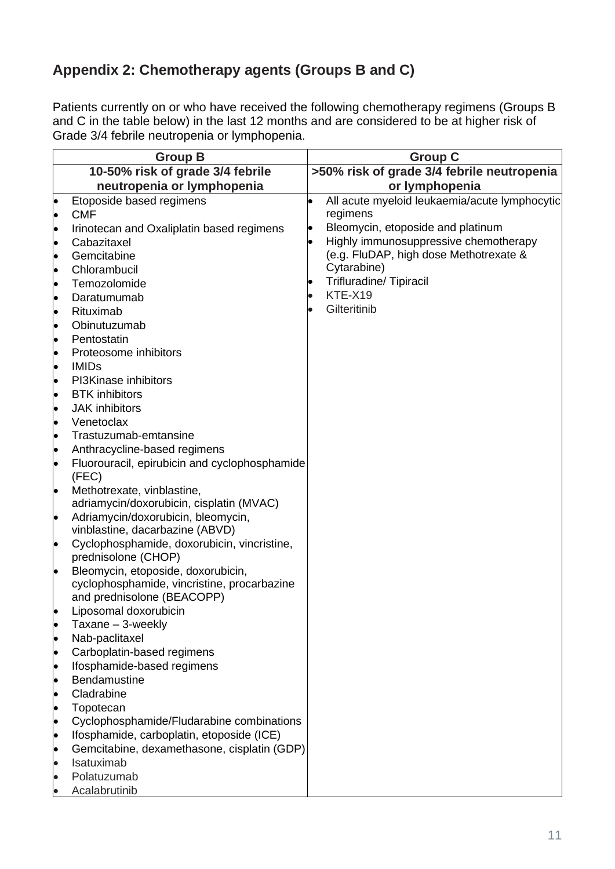# **Appendix 2: Chemotherapy agents (Groups B and C)**

Patients currently on or who have received the following chemotherapy regimens (Groups B and C in the table below) in the last 12 months and are considered to be at higher risk of Grade 3/4 febrile neutropenia or lymphopenia.

|           | <b>Group B</b>                                                                 | <b>Group C</b>                                |
|-----------|--------------------------------------------------------------------------------|-----------------------------------------------|
|           | 10-50% risk of grade 3/4 febrile                                               | >50% risk of grade 3/4 febrile neutropenia    |
|           | neutropenia or lymphopenia                                                     | or lymphopenia                                |
| $\bullet$ | Etoposide based regimens                                                       | All acute myeloid leukaemia/acute lymphocytic |
| $\bullet$ | <b>CMF</b>                                                                     | regimens                                      |
| $\bullet$ | Irinotecan and Oxaliplatin based regimens                                      | Bleomycin, etoposide and platinum             |
| $\bullet$ | Cabazitaxel                                                                    | Highly immunosuppressive chemotherapy         |
| $\bullet$ | Gemcitabine                                                                    | (e.g. FluDAP, high dose Methotrexate &        |
| $\bullet$ | Chlorambucil                                                                   | Cytarabine)                                   |
| $\bullet$ | Temozolomide                                                                   | <b>Trifluradine/ Tipiracil</b>                |
| $\bullet$ | Daratumumab                                                                    | KTE-X19                                       |
| $\bullet$ | Rituximab                                                                      | Gilteritinib                                  |
| $\bullet$ | Obinutuzumab                                                                   |                                               |
| $\bullet$ | Pentostatin                                                                    |                                               |
| $\bullet$ | Proteosome inhibitors                                                          |                                               |
| $\bullet$ | <b>IMIDs</b>                                                                   |                                               |
| $\bullet$ | PI3Kinase inhibitors                                                           |                                               |
| $\bullet$ | <b>BTK</b> inhibitors                                                          |                                               |
| $\bullet$ | <b>JAK</b> inhibitors                                                          |                                               |
| $\bullet$ | Venetoclax                                                                     |                                               |
| $\bullet$ | Trastuzumab-emtansine                                                          |                                               |
| $\bullet$ | Anthracycline-based regimens                                                   |                                               |
| $\bullet$ | Fluorouracil, epirubicin and cyclophosphamide                                  |                                               |
|           | (FEC)                                                                          |                                               |
| $\bullet$ | Methotrexate, vinblastine,                                                     |                                               |
|           | adriamycin/doxorubicin, cisplatin (MVAC)<br>Adriamycin/doxorubicin, bleomycin, |                                               |
| $\bullet$ | vinblastine, dacarbazine (ABVD)                                                |                                               |
| $\bullet$ | Cyclophosphamide, doxorubicin, vincristine,                                    |                                               |
|           | prednisolone (CHOP)                                                            |                                               |
| $\bullet$ | Bleomycin, etoposide, doxorubicin,                                             |                                               |
|           | cyclophosphamide, vincristine, procarbazine                                    |                                               |
|           | and prednisolone (BEACOPP)                                                     |                                               |
|           | Liposomal doxorubicin                                                          |                                               |
|           | Taxane - 3-weekly                                                              |                                               |
| $\bullet$ | Nab-paclitaxel                                                                 |                                               |
| $\bullet$ | Carboplatin-based regimens                                                     |                                               |
|           | Ifosphamide-based regimens                                                     |                                               |
| $\bullet$ | <b>Bendamustine</b>                                                            |                                               |
| $\bullet$ | Cladrabine                                                                     |                                               |
|           | Topotecan<br>Cyclophosphamide/Fludarabine combinations                         |                                               |
| $\bullet$ | Ifosphamide, carboplatin, etoposide (ICE)                                      |                                               |
| $\bullet$ | Gemcitabine, dexamethasone, cisplatin (GDP)                                    |                                               |
|           | Isatuximab                                                                     |                                               |
|           | Polatuzumab                                                                    |                                               |
|           | Acalabrutinib                                                                  |                                               |